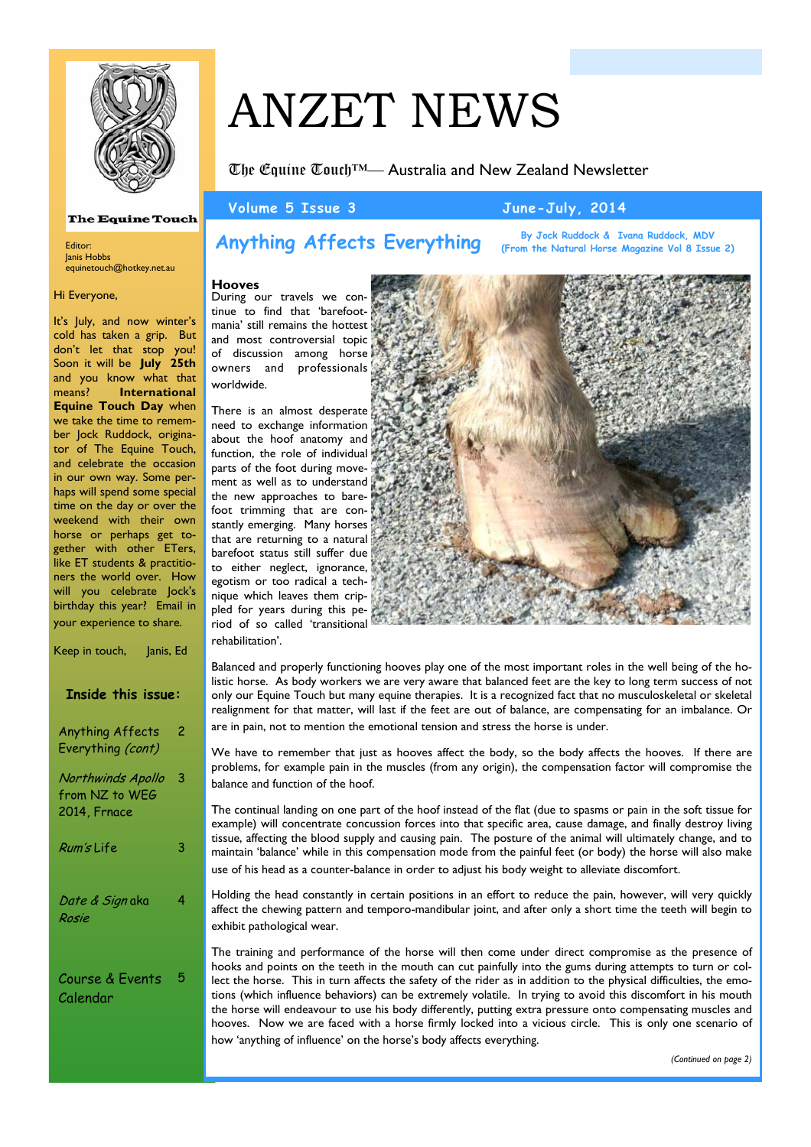

#### **The Equine Touch**

Editor: Janis Hobbs equinetouch@hotkey.net.au

#### Hi Everyone,

It's July, and now winter's cold has taken a grip. But don't let that stop you! Soon it will be **July 25th**  and you know what that means? **International Equine Touch Day** when we take the time to remember Jock Ruddock, originator of The Equine Touch, and celebrate the occasion in our own way. Some perhaps will spend some special time on the day or over the weekend with their own horse or perhaps get together with other ETers, like ET students & practitioners the world over. How will you celebrate Jock's birthday this year? Email in your experience to share.

| Keep in touch,<br>Janis, Ed                         |   |
|-----------------------------------------------------|---|
| <b>Inside this issue:</b>                           |   |
| Anything Affects<br>Everything (cont)               | 2 |
| Northwinds Apollo<br>from NZ to WEG<br>2014, Frnace | 3 |
| <i>Rum's</i> Life                                   | 3 |
| <i>Date &amp; Sign</i> aka<br>Rosie                 | 4 |
| Course & Events<br>Calendar                         | 5 |

# ANZET NEWS

The Equine Touch™— Australia and New Zealand Newsletter

**Volume 5 Issue 3 June-July, 2014** 

# **Anything Affects Everything**

**By Jock Ruddock & Ivana Ruddock, MDV (From the Natural Horse Magazine Vol 8 Issue 2)**

## **Hooves**

During our travels we continue to find that 'barefootmania' still remains the hottest and most controversial topic of discussion among horse owners and professionals worldwide.

There is an almost desperate need to exchange information about the hoof anatomy and function, the role of individual parts of the foot during movement as well as to understand the new approaches to barefoot trimming that are constantly emerging. Many horses that are returning to a natural barefoot status still suffer due to either neglect, ignorance, egotism or too radical a technique which leaves them crippled for years during this period of so called 'transitional rehabilitation'.



Balanced and properly functioning hooves play one of the most important roles in the well being of the holistic horse. As body workers we are very aware that balanced feet are the key to long term success of not only our Equine Touch but many equine therapies. It is a recognized fact that no musculoskeletal or skeletal realignment for that matter, will last if the feet are out of balance, are compensating for an imbalance. Or are in pain, not to mention the emotional tension and stress the horse is under.

We have to remember that just as hooves affect the body, so the body affects the hooves. If there are problems, for example pain in the muscles (from any origin), the compensation factor will compromise the balance and function of the hoof.

The continual landing on one part of the hoof instead of the flat (due to spasms or pain in the soft tissue for example) will concentrate concussion forces into that specific area, cause damage, and finally destroy living tissue, affecting the blood supply and causing pain. The posture of the animal will ultimately change, and to maintain 'balance' while in this compensation mode from the painful feet (or body) the horse will also make use of his head as a counter-balance in order to adjust his body weight to alleviate discomfort.

Holding the head constantly in certain positions in an effort to reduce the pain, however, will very quickly affect the chewing pattern and temporo-mandibular joint, and after only a short time the teeth will begin to exhibit pathological wear.

The training and performance of the horse will then come under direct compromise as the presence of hooks and points on the teeth in the mouth can cut painfully into the gums during attempts to turn or collect the horse. This in turn affects the safety of the rider as in addition to the physical difficulties, the emotions (which influence behaviors) can be extremely volatile. In trying to avoid this discomfort in his mouth the horse will endeavour to use his body differently, putting extra pressure onto compensating muscles and hooves. Now we are faced with a horse firmly locked into a vicious circle. This is only one scenario of how 'anything of influence' on the horse's body affects everything.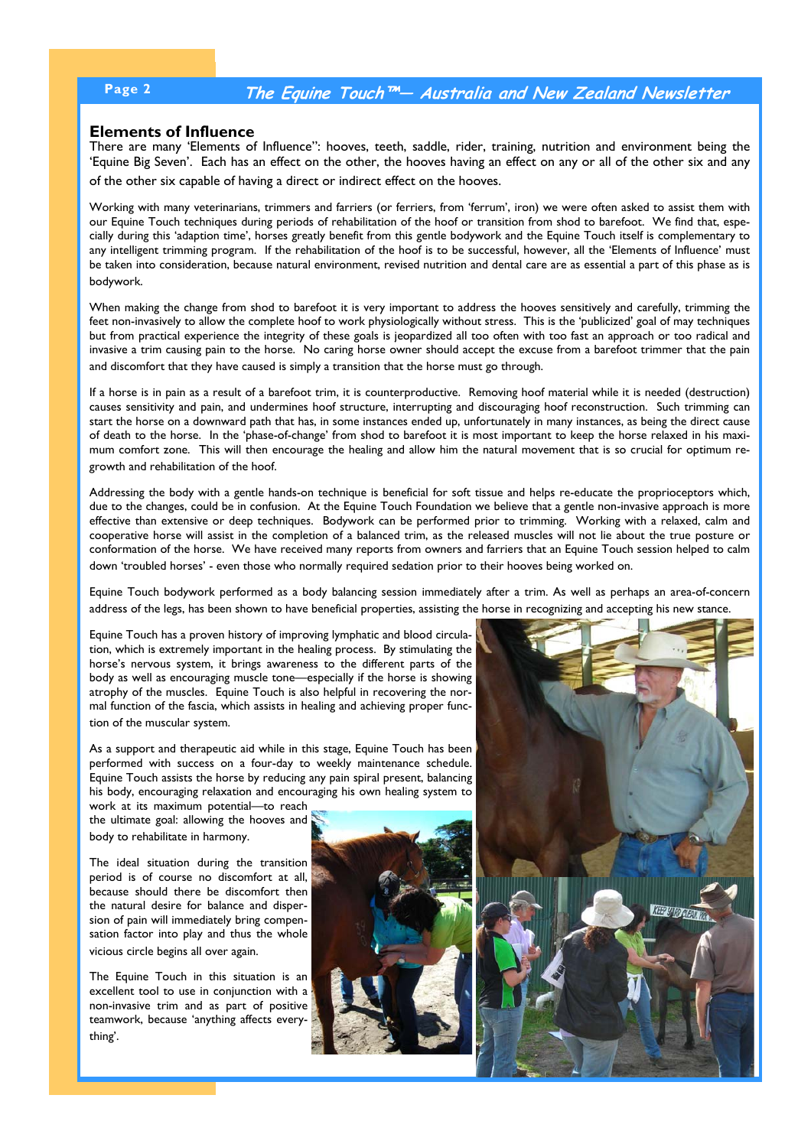# **Page 2 The Equine Touch™— Australia and New Zealand Newsletter**

## **Elements of Influence**

There are many 'Elements of Influence": hooves, teeth, saddle, rider, training, nutrition and environment being the 'Equine Big Seven'. Each has an effect on the other, the hooves having an effect on any or all of the other six and any of the other six capable of having a direct or indirect effect on the hooves.

Working with many veterinarians, trimmers and farriers (or ferriers, from 'ferrum', iron) we were often asked to assist them with our Equine Touch techniques during periods of rehabilitation of the hoof or transition from shod to barefoot. We find that, especially during this 'adaption time', horses greatly benefit from this gentle bodywork and the Equine Touch itself is complementary to any intelligent trimming program. If the rehabilitation of the hoof is to be successful, however, all the 'Elements of Influence' must be taken into consideration, because natural environment, revised nutrition and dental care are as essential a part of this phase as is bodywork.

When making the change from shod to barefoot it is very important to address the hooves sensitively and carefully, trimming the feet non-invasively to allow the complete hoof to work physiologically without stress. This is the 'publicized' goal of may techniques but from practical experience the integrity of these goals is jeopardized all too often with too fast an approach or too radical and invasive a trim causing pain to the horse. No caring horse owner should accept the excuse from a barefoot trimmer that the pain and discomfort that they have caused is simply a transition that the horse must go through.

If a horse is in pain as a result of a barefoot trim, it is counterproductive. Removing hoof material while it is needed (destruction) causes sensitivity and pain, and undermines hoof structure, interrupting and discouraging hoof reconstruction. Such trimming can start the horse on a downward path that has, in some instances ended up, unfortunately in many instances, as being the direct cause of death to the horse. In the 'phase-of-change' from shod to barefoot it is most important to keep the horse relaxed in his maximum comfort zone. This will then encourage the healing and allow him the natural movement that is so crucial for optimum regrowth and rehabilitation of the hoof.

Addressing the body with a gentle hands-on technique is beneficial for soft tissue and helps re-educate the proprioceptors which, due to the changes, could be in confusion. At the Equine Touch Foundation we believe that a gentle non-invasive approach is more effective than extensive or deep techniques. Bodywork can be performed prior to trimming. Working with a relaxed, calm and cooperative horse will assist in the completion of a balanced trim, as the released muscles will not lie about the true posture or conformation of the horse. We have received many reports from owners and farriers that an Equine Touch session helped to calm down 'troubled horses' - even those who normally required sedation prior to their hooves being worked on.

Equine Touch bodywork performed as a body balancing session immediately after a trim. As well as perhaps an area-of-concern address of the legs, has been shown to have beneficial properties, assisting the horse in recognizing and accepting his new stance.

Equine Touch has a proven history of improving lymphatic and blood circulation, which is extremely important in the healing process. By stimulating the horse's nervous system, it brings awareness to the different parts of the body as well as encouraging muscle tone—especially if the horse is showing atrophy of the muscles. Equine Touch is also helpful in recovering the normal function of the fascia, which assists in healing and achieving proper function of the muscular system.

As a support and therapeutic aid while in this stage, Equine Touch has been performed with success on a four-day to weekly maintenance schedule. Equine Touch assists the horse by reducing any pain spiral present, balancing his body, encouraging relaxation and encouraging his own healing system to

work at its maximum potential—to reach the ultimate goal: allowing the hooves and body to rehabilitate in harmony.

The ideal situation during the transition period is of course no discomfort at all, because should there be discomfort then the natural desire for balance and dispersion of pain will immediately bring compensation factor into play and thus the whole vicious circle begins all over again.

The Equine Touch in this situation is an excellent tool to use in conjunction with a non-invasive trim and as part of positive teamwork, because 'anything affects everything'.



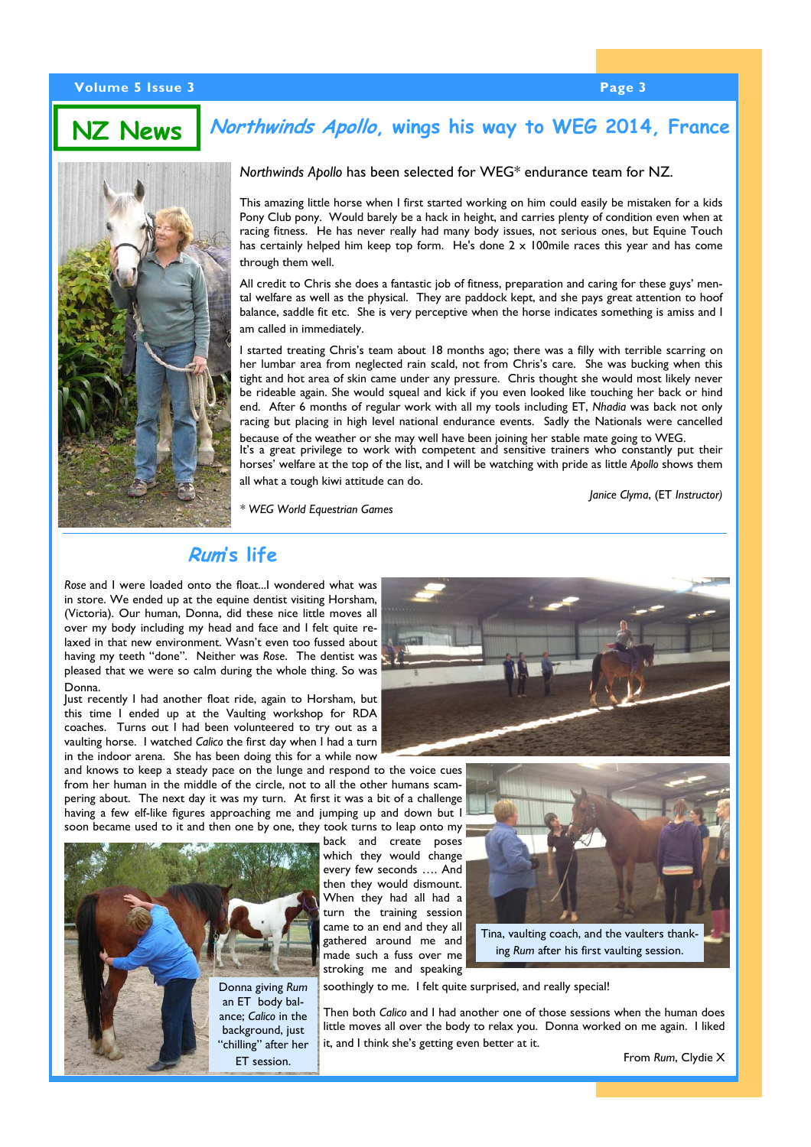#### **Volume 5 Issue 3 Page 3**

**NZ News**

# **Northwinds Apollo, wings his way to WEG 2014, France**



### *Northwinds Apollo* has been selected for WEG\* endurance team for NZ.

 This amazing little horse when I first started working on him could easily be mistaken for a kids Pony Club pony. Would barely be a hack in height, and carries plenty of condition even when at racing fitness. He has never really had many body issues, not serious ones, but Equine Touch has certainly helped him keep top form. He's done 2 x 100mile races this year and has come through them well.

All credit to Chris she does a fantastic job of fitness, preparation and caring for these guys' mental welfare as well as the physical. They are paddock kept, and she pays great attention to hoof balance, saddle fit etc. She is very perceptive when the horse indicates something is amiss and I am called in immediately.

I started treating Chris's team about 18 months ago; there was a filly with terrible scarring on her lumbar area from neglected rain scald, not from Chris's care. She was bucking when this tight and hot area of skin came under any pressure. Chris thought she would most likely never be rideable again. She would squeal and kick if you even looked like touching her back or hind end. After 6 months of regular work with all my tools including ET, *Nhadia* was back not only racing but placing in high level national endurance events. Sadly the Nationals were cancelled because of the weather or she may well have been joining her stable mate going to WEG.

It's a great privilege to work with competent and sensitive trainers who constantly put their horses' welfare at the top of the list, and I will be watching with pride as little *Apollo* shows them all what a tough kiwi attitude can do.

*Janice Clyma*, (ET *Instructor)* 

*\* WEG World Equestrian Games* 

# **Rum's life**

*Rose* and I were loaded onto the float...I wondered what was in store. We ended up at the equine dentist visiting Horsham, (Victoria). Our human, Donna, did these nice little moves all over my body including my head and face and I felt quite relaxed in that new environment. Wasn't even too fussed about having my teeth "done". Neither was *Rose*. The dentist was pleased that we were so calm during the whole thing. So was Donna.

Just recently I had another float ride, again to Horsham, but this time I ended up at the Vaulting workshop for RDA coaches. Turns out I had been volunteered to try out as a vaulting horse. I watched *Calico* the first day when I had a turn in the indoor arena. She has been doing this for a while now

and knows to keep a steady pace on the lunge and respond to the voice cues from her human in the middle of the circle, not to all the other humans scampering about. The next day it was my turn. At first it was a bit of a challenge having a few elf-like figures approaching me and jumping up and down but I soon became used to it and then one by one, they took turns to leap onto my



back and create poses which they would change every few seconds …. And then they would dismount. When they had all had a turn the training session came to an end and they all gathered around me and made such a fuss over me stroking me and speaking





ing *Rum* after his first vaulting session.

soothingly to me. I felt quite surprised, and really special!

Then both *Calico* and I had another one of those sessions when the human does little moves all over the body to relax you. Donna worked on me again. I liked it, and I think she's getting even better at it.

From *Rum*, Clydie X